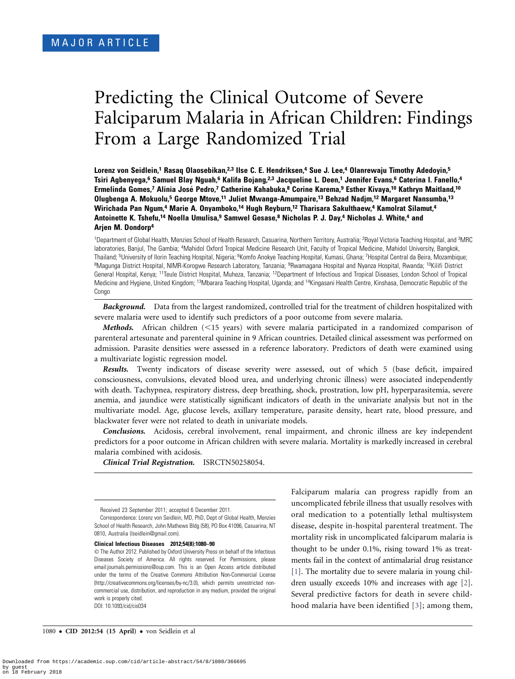# Predicting the Clinical Outcome of Severe Falciparum Malaria in African Children: Findings From a Large Randomized Trial

Lorenz von Seidlein,<sup>1</sup> Rasaq Olaosebikan,<sup>2,3</sup> Ilse C. E. Hendriksen,<sup>4</sup> Sue J. Lee,<sup>4</sup> Olanrewaju Timothy Adedoyin,<sup>5</sup> Tsiri Agbenyega,<sup>6</sup> Samuel Blay Nguah,<sup>6</sup> Kalifa Bojang,<sup>2,3</sup> Jacqueline L. Deen,<sup>1</sup> Jennifer Evans,<sup>6</sup> Caterina I. Fanello,<sup>4</sup> Ermelinda Gomes,<sup>7</sup> Alínia José Pedro,<sup>7</sup> Catherine Kahabuka,8 Corine Karema,9 Esther Kivaya,<sup>10</sup> Kathryn Maitland,<sup>10</sup> Olugbenga A. Mokuolu,5 George Mtove,11 Juliet Mwanga-Amumpaire,13 Behzad Nadjm,12 Margaret Nansumba,13 Wirichada Pan Ngum,<sup>4</sup> Marie A. Onyamboko,<sup>14</sup> Hugh Reyburn,<sup>12</sup> Tharisara Sakulthaew,<sup>4</sup> Kamolrat Silamut,<sup>4</sup> Antoinette K. Tshefu,<sup>14</sup> Noella Umulisa,<sup>9</sup> Samwel Gesase,<sup>8</sup> Nicholas P. J. Day,<sup>4</sup> Nicholas J. White,<sup>4</sup> and Arjen M. Dondorp4

<sup>1</sup>Department of Global Health, Menzies School of Health Research, Casuarina, Northern Territory, Australia; <sup>2</sup>Royal Victoria Teaching Hospital, and <sup>3</sup>MRC laboratories, Banjul, The Gambia; <sup>4</sup>Mahidol Oxford Tropical Medicine Research Unit, Faculty of Tropical Medicine, Mahidol University, Bangkok, Thailand; <sup>5</sup>University of Ilorin Teaching Hospital, Nigeria; <sup>6</sup>Komfo Anokye Teaching Hospital, Kumasi, Ghana; 7Hospital Central da Beira, Mozambique; 8 Magunga District Hospital, NIMR-Korogwe Research Laboratory, Tanzania; 9Rwamagana Hospital and Nyanza Hospital, Rwanda; 10Kilifi District General Hospital, Kenya; 11Teule District Hospital, Muheza, Tanzania; 12Department of Infectious and Tropical Diseases, London School of Tropical Medicine and Hygiene, United Kingdom; 13Mbarara Teaching Hospital, Uganda; and 14Kingasani Health Centre, Kinshasa, Democratic Republic of the Congo

**Background.** Data from the largest randomized, controlled trial for the treatment of children hospitalized with severe malaria were used to identify such predictors of a poor outcome from severe malaria.

**Methods.** African children  $\leq 15$  years) with severe malaria participated in a randomized comparison of parenteral artesunate and parenteral quinine in 9 African countries. Detailed clinical assessment was performed on admission. Parasite densities were assessed in a reference laboratory. Predictors of death were examined using a multivariate logistic regression model.

Results. Twenty indicators of disease severity were assessed, out of which 5 (base deficit, impaired consciousness, convulsions, elevated blood urea, and underlying chronic illness) were associated independently with death. Tachypnea, respiratory distress, deep breathing, shock, prostration, low pH, hyperparasitemia, severe anemia, and jaundice were statistically significant indicators of death in the univariate analysis but not in the multivariate model. Age, glucose levels, axillary temperature, parasite density, heart rate, blood pressure, and blackwater fever were not related to death in univariate models.

Conclusions. Acidosis, cerebral involvement, renal impairment, and chronic illness are key independent predictors for a poor outcome in African children with severe malaria. Mortality is markedly increased in cerebral malaria combined with acidosis.

Clinical Trial Registration. ISRCTN50258054.

Correspondence: Lorenz von Seidlein, MD, PhD, Dept of Global Health, Menzies School of Health Research, John Mathews Bldg (58), PO Box 41096, Casuarina, NT 0810, Australia (lseidlein@gmail.com).

#### Clinical Infectious Diseases 2012;54(8):1080–90

 The Author 2012. Published by Oxford University Press on behalf of the Infectious Diseases Society of America. All rights reserved. For Permissions, please email:journals.permissions@oup.com. This is an Open Access article distributed under the terms of the Creative Commons Attribution Non-Commercial License (http://creativecommons.org/licenses/by-nc/3.0), which permits unrestricted noncommercial use, distribution, and reproduction in any medium, provided the original work is properly cited. DOI: 10.1093/cid/cis034

Falciparum malaria can progress rapidly from an uncomplicated febrile illness that usually resolves with oral medication to a potentially lethal multisystem disease, despite in-hospital parenteral treatment. The mortality risk in uncomplicated falciparum malaria is thought to be under 0.1%, rising toward 1% as treatments fail in the context of antimalarial drug resistance [\[1\]](#page-8-0). The mortality due to severe malaria in young children usually exceeds 10% and increases with age [\[2](#page-8-0)]. Several predictive factors for death in severe childhood malaria have been identified [[3](#page-8-0)]; among them,

1080 · CID 2012:54 (15 April) · von Seidlein et al

Received 23 September 2011; accepted 6 December 2011.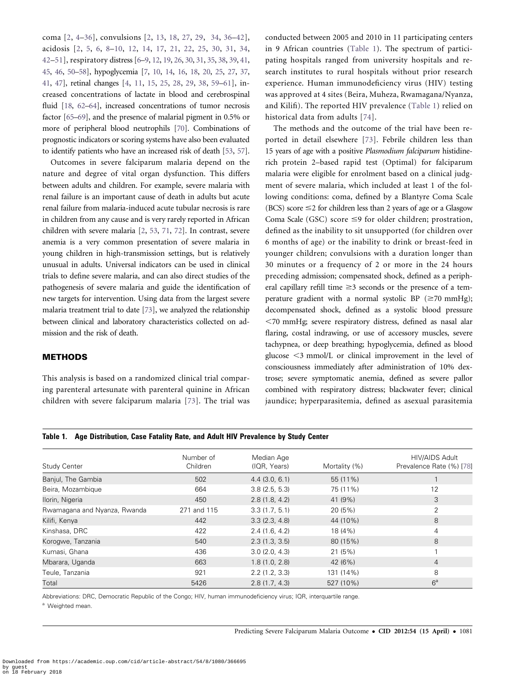<span id="page-1-0"></span>coma [[2,](#page-8-0) [4](#page-8-0)–[36\]](#page-9-0), convulsions [\[2](#page-8-0), [13](#page-8-0), [18](#page-8-0), [27](#page-8-0), [29](#page-8-0), [34,](#page-9-0) [36–42](#page-9-0)], acidosis [\[2,](#page-8-0) [5](#page-8-0), [6,](#page-8-0) [8–10](#page-8-0), [12](#page-8-0), [14](#page-8-0), [17](#page-8-0), [21,](#page-8-0) [22,](#page-8-0) [25,](#page-8-0) [30,](#page-8-0) [31,](#page-8-0) [34,](#page-9-0) [42–51\]](#page-9-0), respiratory distress [\[6–9](#page-8-0), [12](#page-8-0), [19,](#page-8-0) [26,](#page-8-0) [30](#page-8-0), [31,](#page-8-0) [35,](#page-9-0) [38](#page-9-0), [39](#page-9-0), [41,](#page-9-0) [45,](#page-9-0) [46](#page-9-0), [50–58\]](#page-9-0), hypoglycemia [\[7](#page-8-0), [10,](#page-8-0) [14](#page-8-0), [16,](#page-8-0) [18](#page-8-0), [20](#page-8-0), [25,](#page-8-0) [27](#page-8-0), [37,](#page-9-0) [41,](#page-9-0) [47](#page-9-0)], retinal changes [\[4,](#page-8-0) [11](#page-8-0), [15](#page-8-0), [25,](#page-8-0) [28,](#page-8-0) [29](#page-8-0), [38](#page-9-0), [59–61\]](#page-9-0), increased concentrations of lactate in blood and cerebrospinal fluid [\[18,](#page-8-0) [62](#page-9-0)–[64](#page-9-0)], increased concentrations of tumor necrosis factor [\[65](#page-9-0)–[69\]](#page-9-0), and the presence of malarial pigment in 0.5% or more of peripheral blood neutrophils [\[70\]](#page-9-0). Combinations of prognostic indicators or scoring systems have also been evaluated to identify patients who have an increased risk of death [[53](#page-9-0), [57](#page-9-0)].

Outcomes in severe falciparum malaria depend on the nature and degree of vital organ dysfunction. This differs between adults and children. For example, severe malaria with renal failure is an important cause of death in adults but acute renal failure from malaria-induced acute tubular necrosis is rare in children from any cause and is very rarely reported in African children with severe malaria [[2](#page-8-0), [53](#page-9-0), [71,](#page-9-0) [72\]](#page-9-0). In contrast, severe anemia is a very common presentation of severe malaria in young children in high-transmission settings, but is relatively unusual in adults. Universal indicators can be used in clinical trials to define severe malaria, and can also direct studies of the pathogenesis of severe malaria and guide the identification of new targets for intervention. Using data from the largest severe malaria treatment trial to date [\[73\]](#page-9-0), we analyzed the relationship between clinical and laboratory characteristics collected on admission and the risk of death.

# METHODS

This analysis is based on a randomized clinical trial comparing parenteral artesunate with parenteral quinine in African children with severe falciparum malaria [\[73\]](#page-9-0). The trial was

Table 1. Age Distribution, Case Fatality Rate, and Adult HIV Prevalence by Study Center

Abbreviations: DRC, Democratic Republic of the Congo; HIV, human immunodeficiency virus; IQR, interquartile range.

conducted between 2005 and 2010 in 11 participating centers in 9 African countries (Table 1). The spectrum of participating hospitals ranged from university hospitals and research institutes to rural hospitals without prior research experience. Human immunodeficiency virus (HIV) testing was approved at 4 sites (Beira, Muheza, Rwamagana/Nyanza, and Kilifi). The reported HIV prevalence (Table 1) relied on historical data from adults [[74](#page-9-0)].

The methods and the outcome of the trial have been reported in detail elsewhere [\[73](#page-9-0)]. Febrile children less than 15 years of age with a positive Plasmodium falciparum histidinerich protein 2–based rapid test (Optimal) for falciparum malaria were eligible for enrolment based on a clinical judgment of severe malaria, which included at least 1 of the following conditions: coma, defined by a Blantyre Coma Scale (BCS) score  $\leq$  2 for children less than 2 years of age or a Glasgow Coma Scale (GSC) score  $\leq$ 9 for older children; prostration, defined as the inability to sit unsupported (for children over 6 months of age) or the inability to drink or breast-feed in younger children; convulsions with a duration longer than 30 minutes or a frequency of 2 or more in the 24 hours preceding admission; compensated shock, defined as a peripheral capillary refill time  $\geq$ 3 seconds or the presence of a temperature gradient with a normal systolic BP ( $\geq$ 70 mmHg); decompensated shock, defined as a systolic blood pressure ,70 mmHg; severe respiratory distress, defined as nasal alar flaring, costal indrawing, or use of accessory muscles, severe tachypnea, or deep breathing; hypoglycemia, defined as blood glucose  $\leq$ 3 mmol/L or clinical improvement in the level of consciousness immediately after administration of 10% dextrose; severe symptomatic anemia, defined as severe pallor combined with respiratory distress; blackwater fever; clinical jaundice; hyperparasitemia, defined as asexual parasitemia

| Study Center                 | Number of<br>Children | Median Age<br>(IQR, Years) | Mortality (%) | <b>HIV/AIDS Adult</b><br>Prevalence Rate (%) [78] |
|------------------------------|-----------------------|----------------------------|---------------|---------------------------------------------------|
| Banjul, The Gambia           | 502                   | 4.4(3.0, 6.1)              | 55 (11%)      |                                                   |
| Beira, Mozambique            | 664                   | 3.8(2.5, 5.3)              | 75 (11%)      | 12                                                |
| Ilorin, Nigeria              | 450                   | 2.8(1.8, 4.2)              | 41 (9%)       | 3                                                 |
| Rwamagana and Nyanza, Rwanda | 271 and 115           | 3.3(1.7, 5.1)              | 20 (5%)       | 2                                                 |
| Kilifi, Kenya                | 442                   | 3.3(2.3, 4.8)              | 44 (10%)      | 8                                                 |
| Kinshasa, DRC                | 422                   | 2.4(1.6, 4.2)              | 18 (4%)       | 4                                                 |
| Korogwe, Tanzania            | 540                   | 2.3(1.3, 3.5)              | 80 (15%)      | 8                                                 |
| Kumasi, Ghana                | 436                   | 3.0(2.0, 4.3)              | 21(5%)        |                                                   |
| Mbarara, Uganda              | 663                   | 1.8(1.0, 2.8)              | 42 (6%)       | $\overline{4}$                                    |
| Teule, Tanzania              | 921                   | 2.2(1.2, 3.3)              | 131 (14%)     | 8                                                 |
| Total                        | 5426                  | 2.8(1.7, 4.3)              | 527 (10%)     | 6 <sup>a</sup>                                    |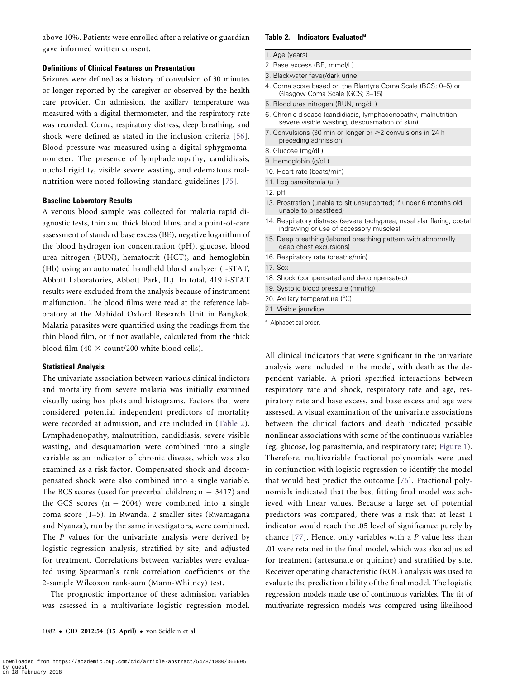above 10%. Patients were enrolled after a relative or guardian gave informed written consent.

## Definitions of Clinical Features on Presentation

Seizures were defined as a history of convulsion of 30 minutes or longer reported by the caregiver or observed by the health care provider. On admission, the axillary temperature was measured with a digital thermometer, and the respiratory rate was recorded. Coma, respiratory distress, deep breathing, and shock were defined as stated in the inclusion criteria [[56](#page-9-0)]. Blood pressure was measured using a digital sphygmomanometer. The presence of lymphadenopathy, candidiasis, nuchal rigidity, visible severe wasting, and edematous malnutrition were noted following standard guidelines [[75](#page-9-0)].

### Baseline Laboratory Results

A venous blood sample was collected for malaria rapid diagnostic tests, thin and thick blood films, and a point-of-care assessment of standard base excess (BE), negative logarithm of the blood hydrogen ion concentration (pH), glucose, blood urea nitrogen (BUN), hematocrit (HCT), and hemoglobin (Hb) using an automated handheld blood analyzer (i-STAT, Abbott Laboratories, Abbott Park, IL). In total, 419 i-STAT results were excluded from the analysis because of instrument malfunction. The blood films were read at the reference laboratory at the Mahidol Oxford Research Unit in Bangkok. Malaria parasites were quantified using the readings from the thin blood film, or if not available, calculated from the thick blood film (40  $\times$  count/200 white blood cells).

#### Statistical Analysis

The univariate association between various clinical indictors and mortality from severe malaria was initially examined visually using box plots and histograms. Factors that were considered potential independent predictors of mortality were recorded at admission, and are included in (Table 2). Lymphadenopathy, malnutrition, candidiasis, severe visible wasting, and desquamation were combined into a single variable as an indicator of chronic disease, which was also examined as a risk factor. Compensated shock and decompensated shock were also combined into a single variable. The BCS scores (used for preverbal children;  $n = 3417$ ) and the GCS scores  $(n = 2004)$  were combined into a single coma score (1–5). In Rwanda, 2 smaller sites (Rwamagana and Nyanza), run by the same investigators, were combined. The P values for the univariate analysis were derived by logistic regression analysis, stratified by site, and adjusted for treatment. Correlations between variables were evaluated using Spearman's rank correlation coefficients or the 2-sample Wilcoxon rank-sum (Mann-Whitney) test.

The prognostic importance of these admission variables was assessed in a multivariate logistic regression model.

#### Table 2. Indicators Evaluated<sup>a</sup>

- 1. Age (years)
- 2. Base excess (BE, mmol/L)
- 3. Blackwater fever/dark urine
- 4. Coma score based on the Blantyre Coma Scale (BCS; 0–5) or Glasgow Coma Scale (GCS; 3–15)
- 5. Blood urea nitrogen (BUN, mg/dL)
- 6. Chronic disease (candidiasis, lymphadenopathy, malnutrition, severe visible wasting, desquamation of skin)
- 7. Convulsions (30 min or longer or  $\geq$  2 convulsions in 24 h preceding admission)
- 8. Glucose (mg/dL)
- 9. Hemoglobin (g/dL)
- 10. Heart rate (beats/min)
- 11. Log parasitemia (µL)
- 12. pH
- 13. Prostration (unable to sit unsupported; if under 6 months old, unable to breastfeed)
- 14. Respiratory distress (severe tachypnea, nasal alar flaring, costal indrawing or use of accessory muscles)
- 15. Deep breathing (labored breathing pattern with abnormally deep chest excursions)
- 16. Respiratory rate (breaths/min)
- 17. Sex
- 18. Shock (compensated and decompensated)
- 19. Systolic blood pressure (mmHg)
- 20. Axillary temperature (°C)
- 21. Visible jaundice
- <sup>a</sup> Alphabetical order.

All clinical indicators that were significant in the univariate analysis were included in the model, with death as the dependent variable. A priori specified interactions between respiratory rate and shock, respiratory rate and age, respiratory rate and base excess, and base excess and age were assessed. A visual examination of the univariate associations between the clinical factors and death indicated possible nonlinear associations with some of the continuous variables (eg, glucose, log parasitemia, and respiratory rate; [Figure 1](#page-3-0)). Therefore, multivariable fractional polynomials were used in conjunction with logistic regression to identify the model that would best predict the outcome [[76](#page-9-0)]. Fractional polynomials indicated that the best fitting final model was achieved with linear values. Because a large set of potential predictors was compared, there was a risk that at least 1 indicator would reach the .05 level of significance purely by chance [\[77\]](#page-9-0). Hence, only variables with a P value less than .01 were retained in the final model, which was also adjusted for treatment (artesunate or quinine) and stratified by site. Receiver operating characteristic (ROC) analysis was used to evaluate the prediction ability of the final model. The logistic regression models made use of continuous variables. The fit of multivariate regression models was compared using likelihood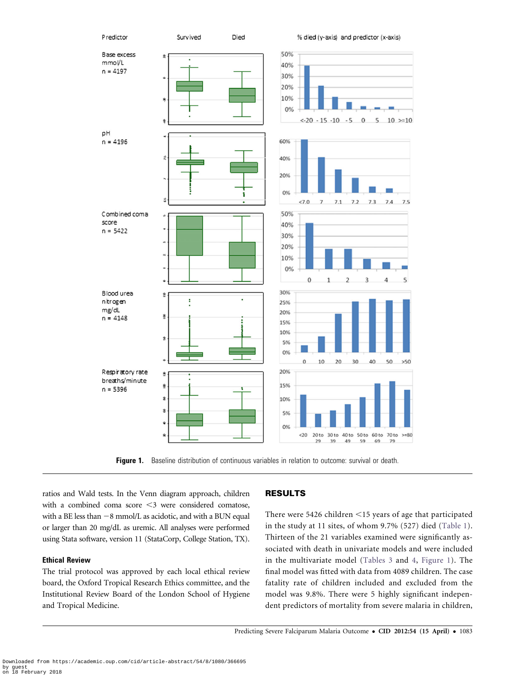<span id="page-3-0"></span>

Figure 1. Baseline distribution of continuous variables in relation to outcome: survival or death.

ratios and Wald tests. In the Venn diagram approach, children with a combined coma score  $\leq$ 3 were considered comatose, with a BE less than  $-8$  mmol/L as acidotic, and with a BUN equal or larger than 20 mg/dL as uremic. All analyses were performed using Stata software, version 11 (StataCorp, College Station, TX).

# Ethical Review

The trial protocol was approved by each local ethical review board, the Oxford Tropical Research Ethics committee, and the Institutional Review Board of the London School of Hygiene and Tropical Medicine.

# RESULTS

There were 5426 children  $\leq$ 15 years of age that participated in the study at 11 sites, of whom 9.7% (527) died ([Table 1](#page-1-0)). Thirteen of the 21 variables examined were significantly associated with death in univariate models and were included in the multivariate model ([Tables 3](#page-5-0) and [4,](#page-6-0) Figure 1). The final model was fitted with data from 4089 children. The case fatality rate of children included and excluded from the model was 9.8%. There were 5 highly significant independent predictors of mortality from severe malaria in children,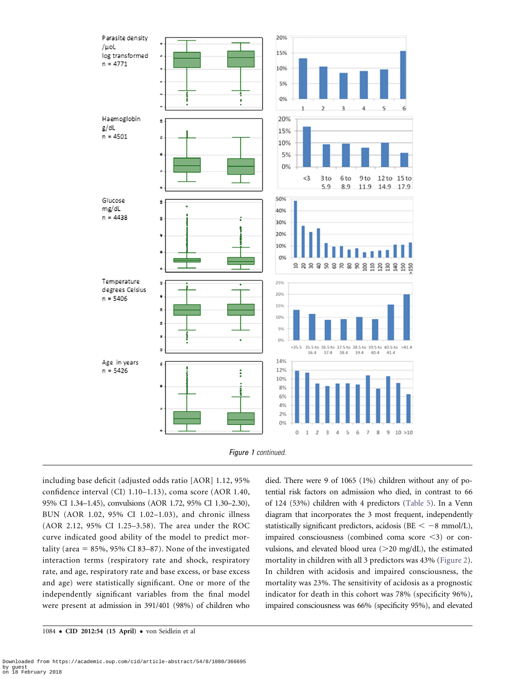



including base deficit (adjusted odds ratio [AOR] 1.12, 95% confidence interval (CI) 1.10–1.13), coma score (AOR 1.40, 95% CI 1.34–1.45), convulsions (AOR 1.72, 95% CI 1.30–2.30), BUN (AOR 1.02, 95% CI 1.02–1.03), and chronic illness (AOR 2.12, 95% CI 1.25–3.58). The area under the ROC curve indicated good ability of the model to predict mortality (area  $= 85\%$ , 95% CI 83–87). None of the investigated interaction terms (respiratory rate and shock, respiratory rate, and age, respiratory rate and base excess, or base excess and age) were statistically significant. One or more of the independently significant variables from the final model were present at admission in 391/401 (98%) of children who

1084 · CID 2012:54 (15 April) · von Seidlein et al

died. There were 9 of 1065 (1%) children without any of potential risk factors on admission who died, in contrast to 66 of 124 (53%) children with 4 predictors [\(Table 5\)](#page-6-0). In a Venn diagram that incorporates the 3 most frequent, independently statistically significant predictors, acidosis (BE  $< -8$  mmol/L), impaired consciousness (combined coma score  $\leq$ 3) or convulsions, and elevated blood urea  $(>20 \text{ mg/dL})$ , the estimated mortality in children with all 3 predictors was 43% ([Figure 2](#page-7-0)). In children with acidosis and impaired consciousness, the mortality was 23%. The sensitivity of acidosis as a prognostic indicator for death in this cohort was 78% (specificity 96%), impaired consciousness was 66% (specificity 95%), and elevated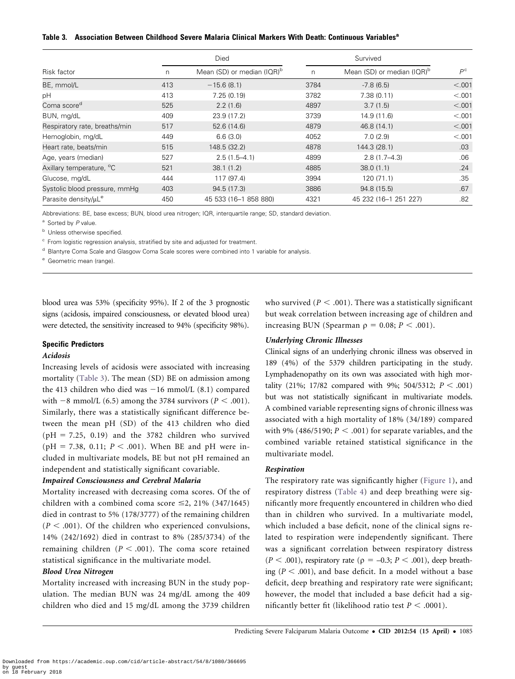### <span id="page-5-0"></span>Table 3. Association Between Childhood Severe Malaria Clinical Markers With Death: Continuous Variables<sup>a</sup>

|                                      | Died |                               | Survived |                                        |             |
|--------------------------------------|------|-------------------------------|----------|----------------------------------------|-------------|
| Risk factor                          | n    | Mean (SD) or median $I(QR)^b$ | n        | Mean (SD) or median (IQR) <sup>b</sup> | $P^{\rm c}$ |
| BE, mmol/L                           | 413  | $-15.6(8.1)$                  | 3784     | $-7.8(6.5)$                            | < 0.001     |
| рH                                   | 413  | 7.25(0.19)                    | 3782     | 7.38(0.11)                             | < 0.001     |
| Coma score <sup>d</sup>              | 525  | 2.2(1.6)                      | 4897     | 3.7(1.5)                               | < .001      |
| BUN, mg/dL                           | 409  | 23.9 (17.2)                   | 3739     | 14.9 (11.6)                            | < 0.001     |
| Respiratory rate, breaths/min        | 517  | 52.6 (14.6)                   | 4879     | 46.8 (14.1)                            | < .001      |
| Hemoglobin, mg/dL                    | 449  | 6.6(3.0)                      | 4052     | 7.0(2.9)                               | < 0.001     |
| Heart rate, beats/min                | 515  | 148.5 (32.2)                  | 4878     | 144.3 (28.1)                           | .03         |
| Age, years (median)                  | 527  | $2.5(1.5-4.1)$                | 4899     | $2.8(1.7 - 4.3)$                       | .06         |
| Axillary temperature, <sup>o</sup> C | 521  | 38.1(1.2)                     | 4885     | 38.0(1.1)                              | .24         |
| Glucose, mg/dL                       | 444  | 117 (97.4)                    | 3994     | 120(71.1)                              | .35         |
| Systolic blood pressure, mmHg        | 403  | 94.5 (17.3)                   | 3886     | 94.8 (15.5)                            | .67         |
| Parasite density/uL <sup>e</sup>     | 450  | 45 533 (16-1 858 880)         | 4321     | 45 232 (16-1 251 227)                  | .82         |

Abbreviations: BE, base excess; BUN, blood urea nitrogen; IQR, interquartile range; SD, standard deviation.

<sup>a</sup> Sorted by P value.

**b** Unless otherwise specified.

<sup>c</sup> From logistic regression analysis, stratified by site and adjusted for treatment.

<sup>d</sup> Blantyre Coma Scale and Glasgow Coma Scale scores were combined into 1 variable for analysis.

e Geometric mean (range).

blood urea was 53% (specificity 95%). If 2 of the 3 prognostic signs (acidosis, impaired consciousness, or elevated blood urea) were detected, the sensitivity increased to 94% (specificity 98%).

### Specific Predictors

#### Acidosis

Increasing levels of acidosis were associated with increasing mortality (Table 3). The mean (SD) BE on admission among the 413 children who died was  $-16$  mmol/L (8.1) compared with  $-8$  mmol/L (6.5) among the 3784 survivors ( $P < .001$ ). Similarly, there was a statistically significant difference between the mean pH (SD) of the 413 children who died  $(pH = 7.25, 0.19)$  and the 3782 children who survived (pH = 7.38, 0.11;  $P < .001$ ). When BE and pH were included in multivariate models, BE but not pH remained an independent and statistically significant covariable.

# Impaired Consciousness and Cerebral Malaria

Mortality increased with decreasing coma scores. Of the of children with a combined coma score  $\leq$ 2, 21% (347/1645) died in contrast to 5% (178/3777) of the remaining children  $(P < .001)$ . Of the children who experienced convulsions, 14% (242/1692) died in contrast to 8% (285/3734) of the remaining children ( $P < .001$ ). The coma score retained statistical significance in the multivariate model.

# Blood Urea Nitrogen

Mortality increased with increasing BUN in the study population. The median BUN was 24 mg/dL among the 409 children who died and 15 mg/dL among the 3739 children

who survived ( $P < .001$ ). There was a statistically significant but weak correlation between increasing age of children and increasing BUN (Spearman  $\rho = 0.08; P < .001$ ).

#### Underlying Chronic Illnesses

Clinical signs of an underlying chronic illness was observed in 189 (4%) of the 5379 children participating in the study. Lymphadenopathy on its own was associated with high mortality (21%; 17/82 compared with 9%; 504/5312;  $P < .001$ ) but was not statistically significant in multivariate models. A combined variable representing signs of chronic illness was associated with a high mortality of 18% (34/189) compared with 9% (486/5190;  $P < .001$ ) for separate variables, and the combined variable retained statistical significance in the multivariate model.

## Respiration

The respiratory rate was significantly higher ([Figure 1](#page-3-0)), and respiratory distress ([Table 4\)](#page-6-0) and deep breathing were significantly more frequently encountered in children who died than in children who survived. In a multivariate model, which included a base deficit, none of the clinical signs related to respiration were independently significant. There was a significant correlation between respiratory distress  $(P < .001)$ , respiratory rate ( $\rho = -0.3; P < .001$ ), deep breathing ( $P < .001$ ), and base deficit. In a model without a base deficit, deep breathing and respiratory rate were significant; however, the model that included a base deficit had a significantly better fit (likelihood ratio test  $P < .0001$ ).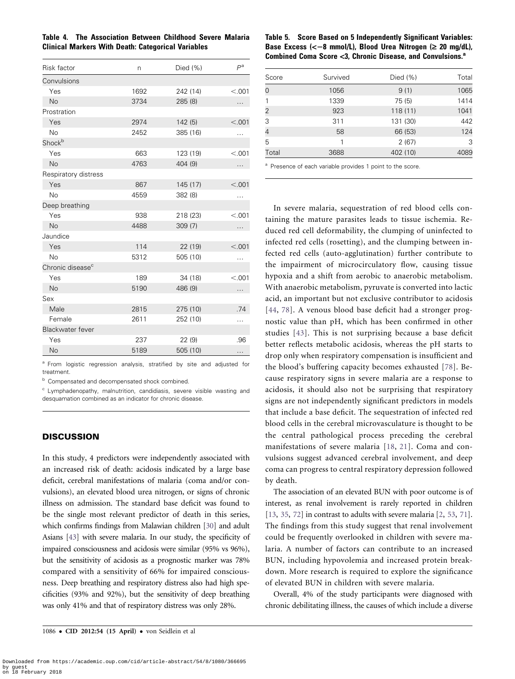<span id="page-6-0"></span>

|  | Table 4. The Association Between Childhood Severe Malaria |  |  |
|--|-----------------------------------------------------------|--|--|
|  | <b>Clinical Markers With Death: Categorical Variables</b> |  |  |

| Risk factor                  | n    | Died $(\% )$ | $P^a$   |
|------------------------------|------|--------------|---------|
| Convulsions                  |      |              |         |
| Yes                          | 1692 | 242 (14)     | < 0.001 |
| <b>No</b>                    | 3734 | 285 (8)      |         |
| Prostration                  |      |              |         |
| Yes                          | 2974 | 142(5)       | < 0.001 |
| <b>No</b>                    | 2452 | 385 (16)     | .       |
| Shock <sup>b</sup>           |      |              |         |
| Yes                          | 663  | 123 (19)     | < 0.01  |
| <b>No</b>                    | 4763 | 404 (9)      | .       |
| Respiratory distress         |      |              |         |
| Yes                          | 867  | 145 (17)     | < 0.001 |
| <b>No</b>                    | 4559 | 382 (8)      | .       |
| Deep breathing               |      |              |         |
| Yes                          | 938  | 218 (23)     | < 0.01  |
| <b>No</b>                    | 4488 | 309(7)       | .       |
| Jaundice                     |      |              |         |
| Yes                          | 114  | 22 (19)      | < 0.001 |
| <b>No</b>                    | 5312 | 505 (10)     | .       |
| Chronic disease <sup>c</sup> |      |              |         |
| Yes                          | 189  | 34 (18)      | < 0.01  |
| <b>No</b>                    | 5190 | 486 (9)      | .       |
| Sex                          |      |              |         |
| Male                         | 2815 | 275 (10)     | .74     |
| Female                       | 2611 | 252 (10)     | .       |
| Blackwater fever             |      |              |         |
| Yes                          | 237  | 22(9)        | .96     |
| <b>No</b>                    | 5189 | 505 (10)     | .       |

<sup>a</sup> From logistic regression analysis, stratified by site and adjusted for treatment.

b Compensated and decompensated shock combined.

<sup>c</sup> Lymphadenopathy, malnutrition, candidiasis, severe visible wasting and desquamation combined as an indicator for chronic disease.

# **DISCUSSION**

In this study, 4 predictors were independently associated with an increased risk of death: acidosis indicated by a large base deficit, cerebral manifestations of malaria (coma and/or convulsions), an elevated blood urea nitrogen, or signs of chronic illness on admission. The standard base deficit was found to be the single most relevant predictor of death in this series, which confirms findings from Malawian children [[30](#page-8-0)] and adult Asians [\[43](#page-9-0)] with severe malaria. In our study, the specificity of impaired consciousness and acidosis were similar (95% vs 96%), but the sensitivity of acidosis as a prognostic marker was 78% compared with a sensitivity of 66% for impaired consciousness. Deep breathing and respiratory distress also had high specificities (93% and 92%), but the sensitivity of deep breathing was only 41% and that of respiratory distress was only 28%.

| Table 5. Score Based on 5 Independently Significant Variables:         |
|------------------------------------------------------------------------|
| Base Excess ( $<-8$ mmol/L), Blood Urea Nitrogen ( $\geq 20$ mg/dL),   |
| Combined Coma Score <3. Chronic Disease, and Convulsions. <sup>a</sup> |

| Score          | Survived | Died $(\% )$ | Total |
|----------------|----------|--------------|-------|
| 0              | 1056     | 9(1)         | 1065  |
|                | 1339     | 75 (5)       | 1414  |
| $\overline{2}$ | 923      | 118(11)      | 1041  |
| 3              | 311      | 131 (30)     | 442   |
| 4              | 58       | 66 (53)      | 124   |
| 5              | 1        | 2(67)        | 3     |
| Total          | 3688     | 402 (10)     | 4089  |

<sup>a</sup> Presence of each variable provides 1 point to the score.

In severe malaria, sequestration of red blood cells containing the mature parasites leads to tissue ischemia. Reduced red cell deformability, the clumping of uninfected to infected red cells (rosetting), and the clumping between infected red cells (auto-agglutination) further contribute to the impairment of microcirculatory flow, causing tissue hypoxia and a shift from aerobic to anaerobic metabolism. With anaerobic metabolism, pyruvate is converted into lactic acid, an important but not exclusive contributor to acidosis [[44](#page-9-0), [78](#page-9-0)]. A venous blood base deficit had a stronger prognostic value than pH, which has been confirmed in other studies [[43\]](#page-9-0). This is not surprising because a base deficit better reflects metabolic acidosis, whereas the pH starts to drop only when respiratory compensation is insufficient and the blood's buffering capacity becomes exhausted [[78](#page-9-0)]. Because respiratory signs in severe malaria are a response to acidosis, it should also not be surprising that respiratory signs are not independently significant predictors in models that include a base deficit. The sequestration of infected red blood cells in the cerebral microvasculature is thought to be the central pathological process preceding the cerebral manifestations of severe malaria [[18](#page-8-0), [21](#page-8-0)]. Coma and convulsions suggest advanced cerebral involvement, and deep coma can progress to central respiratory depression followed by death.

The association of an elevated BUN with poor outcome is of interest, as renal involvement is rarely reported in children [\[13](#page-8-0), [35,](#page-9-0) [72\]](#page-9-0) in contrast to adults with severe malaria [\[2,](#page-8-0) [53](#page-9-0), [71](#page-9-0)]. The findings from this study suggest that renal involvement could be frequently overlooked in children with severe malaria. A number of factors can contribute to an increased BUN, including hypovolemia and increased protein breakdown. More research is required to explore the significance of elevated BUN in children with severe malaria.

Overall, 4% of the study participants were diagnosed with chronic debilitating illness, the causes of which include a diverse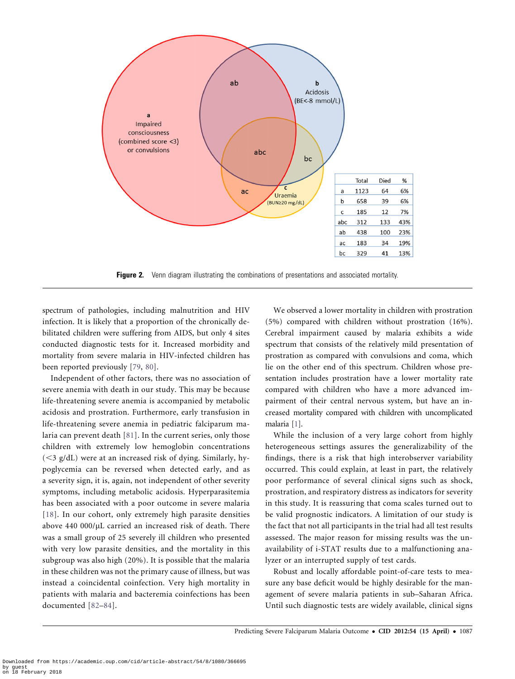<span id="page-7-0"></span>

**Figure 2.** Venn diagram illustrating the combinations of presentations and associated mortality.

spectrum of pathologies, including malnutrition and HIV infection. It is likely that a proportion of the chronically debilitated children were suffering from AIDS, but only 4 sites conducted diagnostic tests for it. Increased morbidity and mortality from severe malaria in HIV-infected children has been reported previously [[79](#page-9-0), [80](#page-10-0)].

Independent of other factors, there was no association of severe anemia with death in our study. This may be because life-threatening severe anemia is accompanied by metabolic acidosis and prostration. Furthermore, early transfusion in life-threatening severe anemia in pediatric falciparum malaria can prevent death [\[81\]](#page-10-0). In the current series, only those children with extremely low hemoglobin concentrations  $(<$ 3 g/dL) were at an increased risk of dying. Similarly, hypoglycemia can be reversed when detected early, and as a severity sign, it is, again, not independent of other severity symptoms, including metabolic acidosis. Hyperparasitemia has been associated with a poor outcome in severe malaria [[18](#page-8-0)]. In our cohort, only extremely high parasite densities above 440 000/µL carried an increased risk of death. There was a small group of 25 severely ill children who presented with very low parasite densities, and the mortality in this subgroup was also high (20%). It is possible that the malaria in these children was not the primary cause of illness, but was instead a coincidental coinfection. Very high mortality in patients with malaria and bacteremia coinfections has been documented [[82–84\]](#page-10-0).

We observed a lower mortality in children with prostration (5%) compared with children without prostration (16%). Cerebral impairment caused by malaria exhibits a wide spectrum that consists of the relatively mild presentation of prostration as compared with convulsions and coma, which lie on the other end of this spectrum. Children whose presentation includes prostration have a lower mortality rate compared with children who have a more advanced impairment of their central nervous system, but have an increased mortality compared with children with uncomplicated malaria [\[1\]](#page-8-0).

While the inclusion of a very large cohort from highly heterogeneous settings assures the generalizability of the findings, there is a risk that high interobserver variability occurred. This could explain, at least in part, the relatively poor performance of several clinical signs such as shock, prostration, and respiratory distress as indicators for severity in this study. It is reassuring that coma scales turned out to be valid prognostic indicators. A limitation of our study is the fact that not all participants in the trial had all test results assessed. The major reason for missing results was the unavailability of i-STAT results due to a malfunctioning analyzer or an interrupted supply of test cards.

Robust and locally affordable point-of-care tests to measure any base deficit would be highly desirable for the management of severe malaria patients in sub–Saharan Africa. Until such diagnostic tests are widely available, clinical signs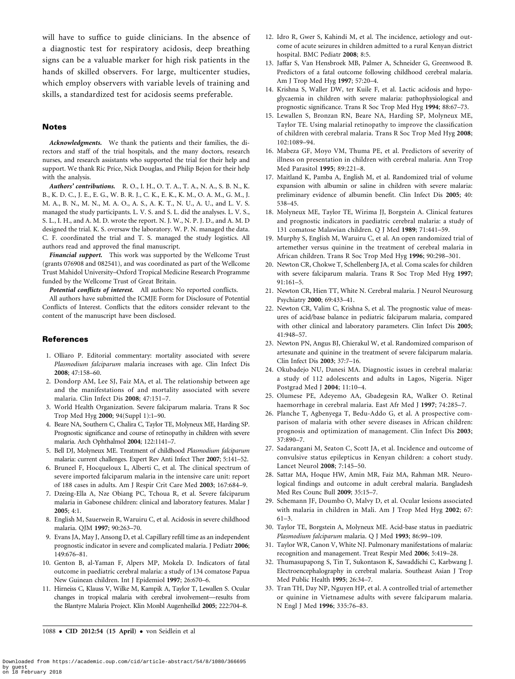<span id="page-8-0"></span>will have to suffice to guide clinicians. In the absence of a diagnostic test for respiratory acidosis, deep breathing signs can be a valuable marker for high risk patients in the hands of skilled observers. For large, multicenter studies, which employ observers with variable levels of training and skills, a standardized test for acidosis seems preferable.

## **Notes**

Acknowledgments. We thank the patients and their families, the directors and staff of the trial hospitals, and the many doctors, research nurses, and research assistants who supported the trial for their help and support. We thank Ric Price, Nick Douglas, and Philip Bejon for their help with the analysis.

Authors' contributions. R. O., I. H., O. T. A., T. A., N. A., S. B. N., K. B., K. D. C., J. E., E. G., W. B. R. J., C. K., E. K., K. M., O. A. M., G. M., J. M. A., B. N., M. N., M. A. O., A. S., A. K. T., N. U., A. U., and L. V. S. managed the study participants. L. V. S. and S. L. did the analyses. L. V. S., S. L., I. H., and A. M. D. wrote the report. N. J. W., N. P. J. D., and A. M. D designed the trial. K. S. oversaw the laboratory. W. P. N. managed the data. C. F. coordinated the trial and T. S. managed the study logistics. All authors read and approved the final manuscript.

Financial support. This work was supported by the Wellcome Trust (grants 076908 and 082541), and was coordinated as part of the Wellcome Trust Mahidol University–Oxford Tropical Medicine Research Programme funded by the Wellcome Trust of Great Britain.

Potential conflicts of interest. All authors: No reported conflicts.

All authors have submitted the ICMJE Form for Disclosure of Potential Conflicts of Interest. Conflicts that the editors consider relevant to the content of the manuscript have been disclosed.

#### **References**

- 1. Olliaro P. Editorial commentary: mortality associated with severe Plasmodium falciparum malaria increases with age. Clin Infect Dis 2008; 47:158–60.
- 2. Dondorp AM, Lee SJ, Faiz MA, et al. The relationship between age and the manifestations of and mortality associated with severe malaria. Clin Infect Dis 2008; 47:151–7.
- 3. World Health Organization. Severe falciparum malaria. Trans R Soc Trop Med Hyg 2000; 94(Suppl 1):1–90.
- 4. Beare NA, Southern C, Chalira C, Taylor TE, Molyneux ME, Harding SP. Prognostic significance and course of retinopathy in children with severe malaria. Arch Ophthalmol 2004; 122:1141–7.
- 5. Bell DJ, Molyneux ME. Treatment of childhood Plasmodium falciparum malaria: current challenges. Expert Rev Anti Infect Ther 2007; 5:141–52.
- 6. Bruneel F, Hocqueloux L, Alberti C, et al. The clinical spectrum of severe imported falciparum malaria in the intensive care unit: report of 188 cases in adults. Am J Respir Crit Care Med 2003; 167:684–9.
- 7. Dzeing-Ella A, Nze Obiang PC, Tchoua R, et al. Severe falciparum malaria in Gabonese children: clinical and laboratory features. Malar J 2005; 4:1.
- 8. English M, Sauerwein R, Waruiru C, et al. Acidosis in severe childhood malaria. QJM 1997; 90:263–70.
- 9. Evans JA, May J, Ansong D, et al. Capillary refill time as an independent prognostic indicator in severe and complicated malaria. J Pediatr 2006; 149:676–81.
- 10. Genton B, al-Yaman F, Alpers MP, Mokela D. Indicators of fatal outcome in paediatric cerebral malaria: a study of 134 comatose Papua New Guinean children. Int J Epidemiol 1997; 26:670–6.
- 11. Hirneiss C, Klauss V, Wilke M, Kampik A, Taylor T, Lewallen S. Ocular changes in tropical malaria with cerebral involvement—results from the Blantyre Malaria Project. Klin Monbl Augenheilkd 2005; 222:704–8.
- 12. Idro R, Gwer S, Kahindi M, et al. The incidence, aetiology and outcome of acute seizures in children admitted to a rural Kenyan district hospital. BMC Pediatr 2008; 8:5.
- 13. Jaffar S, Van Hensbroek MB, Palmer A, Schneider G, Greenwood B. Predictors of a fatal outcome following childhood cerebral malaria. Am J Trop Med Hyg 1997; 57:20–4.
- 14. Krishna S, Waller DW, ter Kuile F, et al. Lactic acidosis and hypoglycaemia in children with severe malaria: pathophysiological and prognostic significance. Trans R Soc Trop Med Hyg 1994; 88:67–73.
- 15. Lewallen S, Bronzan RN, Beare NA, Harding SP, Molyneux ME, Taylor TE. Using malarial retinopathy to improve the classification of children with cerebral malaria. Trans R Soc Trop Med Hyg 2008; 102:1089–94.
- 16. Mabeza GF, Moyo VM, Thuma PE, et al. Predictors of severity of illness on presentation in children with cerebral malaria. Ann Trop Med Parasitol 1995; 89:221–8.
- 17. Maitland K, Pamba A, English M, et al. Randomized trial of volume expansion with albumin or saline in children with severe malaria: preliminary evidence of albumin benefit. Clin Infect Dis 2005; 40: 538–45.
- 18. Molyneux ME, Taylor TE, Wirima JJ, Borgstein A. Clinical features and prognostic indicators in paediatric cerebral malaria: a study of 131 comatose Malawian children. Q J Med 1989; 71:441–59.
- 19. Murphy S, English M, Waruiru C, et al. An open randomized trial of artemether versus quinine in the treatment of cerebral malaria in African children. Trans R Soc Trop Med Hyg 1996; 90:298–301.
- 20. Newton CR, Chokwe T, Schellenberg JA, et al. Coma scales for children with severe falciparum malaria. Trans R Soc Trop Med Hyg 1997; 91:161–5.
- 21. Newton CR, Hien TT, White N. Cerebral malaria. J Neurol Neurosurg Psychiatry 2000; 69:433–41.
- 22. Newton CR, Valim C, Krishna S, et al. The prognostic value of measures of acid/base balance in pediatric falciparum malaria, compared with other clinical and laboratory parameters. Clin Infect Dis 2005; 41:948–57.
- 23. Newton PN, Angus BJ, Chierakul W, et al. Randomized comparison of artesunate and quinine in the treatment of severe falciparum malaria. Clin Infect Dis 2003; 37:7–16.
- 24. Okubadejo NU, Danesi MA. Diagnostic issues in cerebral malaria: a study of 112 adolescents and adults in Lagos, Nigeria. Niger Postgrad Med J 2004; 11:10–4.
- 25. Olumese PE, Adeyemo AA, Gbadegesin RA, Walker O. Retinal haemorrhage in cerebral malaria. East Afr Med J 1997; 74:285–7.
- 26. Planche T, Agbenyega T, Bedu-Addo G, et al. A prospective comparison of malaria with other severe diseases in African children: prognosis and optimization of management. Clin Infect Dis 2003; 37:890–7.
- 27. Sadarangani M, Seaton C, Scott JA, et al. Incidence and outcome of convulsive status epilepticus in Kenyan children: a cohort study. Lancet Neurol 2008; 7:145–50.
- 28. Sattar MA, Hoque HW, Amin MR, Faiz MA, Rahman MR. Neurological findings and outcome in adult cerebral malaria. Bangladesh Med Res Counc Bull 2009; 35:15–7.
- 29. Schemann JF, Doumbo O, Malvy D, et al. Ocular lesions associated with malaria in children in Mali. Am J Trop Med Hyg 2002; 67: 61–3.
- 30. Taylor TE, Borgstein A, Molyneux ME. Acid-base status in paediatric Plasmodium falciparum malaria. Q J Med 1993; 86:99–109.
- 31. Taylor WR, Canon V, White NJ. Pulmonary manifestations of malaria: recognition and management. Treat Respir Med 2006; 5:419–28.
- 32. Thumasupapong S, Tin T, Sukontason K, Sawaddichi C, Karbwang J. Electroencephalography in cerebral malaria. Southeast Asian J Trop Med Public Health 1995; 26:34–7.
- 33. Tran TH, Day NP, Nguyen HP, et al. A controlled trial of artemether or quinine in Vietnamese adults with severe falciparum malaria. N Engl J Med 1996; 335:76–83.

1088 · CID 2012:54 (15 April) · von Seidlein et al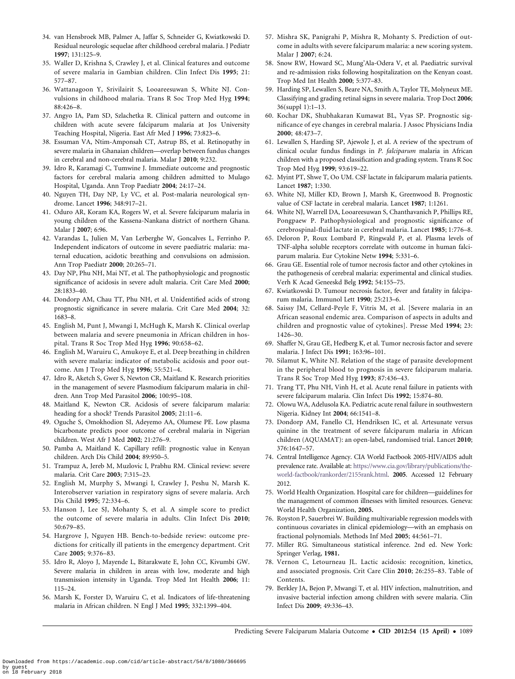- <span id="page-9-0"></span>34. van Hensbroek MB, Palmer A, Jaffar S, Schneider G, Kwiatkowski D. Residual neurologic sequelae after childhood cerebral malaria. J Pediatr 1997; 131:125–9.
- 35. Waller D, Krishna S, Crawley J, et al. Clinical features and outcome of severe malaria in Gambian children. Clin Infect Dis 1995; 21: 577–87.
- 36. Wattanagoon Y, Srivilairit S, Looareesuwan S, White NJ. Convulsions in childhood malaria. Trans R Soc Trop Med Hyg 1994; 88:426–8.
- 37. Angyo IA, Pam SD, Szlachetka R. Clinical pattern and outcome in children with acute severe falciparum malaria at Jos University Teaching Hospital, Nigeria. East Afr Med J 1996; 73:823–6.
- 38. Essuman VA, Ntim-Amponsah CT, Astrup BS, et al. Retinopathy in severe malaria in Ghanaian children—overlap between fundus changes in cerebral and non-cerebral malaria. Malar J 2010; 9:232.
- 39. Idro R, Karamagi C, Tumwine J. Immediate outcome and prognostic factors for cerebral malaria among children admitted to Mulago Hospital, Uganda. Ann Trop Paediatr 2004; 24:17–24.
- 40. Nguyen TH, Day NP, Ly VC, et al. Post-malaria neurological syndrome. Lancet 1996; 348:917–21.
- 41. Oduro AR, Koram KA, Rogers W, et al. Severe falciparum malaria in young children of the Kassena-Nankana district of northern Ghana. Malar J 2007; 6:96.
- 42. Varandas L, Julien M, Van Lerberghe W, Goncalves L, Ferrinho P. Independent indicators of outcome in severe paediatric malaria: maternal education, acidotic breathing and convulsions on admission. Ann Trop Paediatr 2000; 20:265–71.
- 43. Day NP, Phu NH, Mai NT, et al. The pathophysiologic and prognostic significance of acidosis in severe adult malaria. Crit Care Med 2000; 28:1833–40.
- 44. Dondorp AM, Chau TT, Phu NH, et al. Unidentified acids of strong prognostic significance in severe malaria. Crit Care Med 2004; 32: 1683–8.
- 45. English M, Punt J, Mwangi I, McHugh K, Marsh K. Clinical overlap between malaria and severe pneumonia in African children in hospital. Trans R Soc Trop Med Hyg 1996; 90:658–62.
- 46. English M, Waruiru C, Amukoye E, et al. Deep breathing in children with severe malaria: indicator of metabolic acidosis and poor outcome. Am J Trop Med Hyg 1996; 55:521–4.
- 47. Idro R, Aketch S, Gwer S, Newton CR, Maitland K. Research priorities in the management of severe Plasmodium falciparum malaria in children. Ann Trop Med Parasitol 2006; 100:95–108.
- 48. Maitland K, Newton CR. Acidosis of severe falciparum malaria: heading for a shock? Trends Parasitol 2005; 21:11–6.
- 49. Oguche S, Omokhodion SI, Adeyemo AA, Olumese PE. Low plasma bicarbonate predicts poor outcome of cerebral malaria in Nigerian children. West Afr J Med 2002; 21:276–9.
- 50. Pamba A, Maitland K. Capillary refill: prognostic value in Kenyan children. Arch Dis Child 2004; 89:950–5.
- 51. Trampuz A, Jereb M, Muzlovic I, Prabhu RM. Clinical review: severe malaria. Crit Care 2003; 7:315–23.
- 52. English M, Murphy S, Mwangi I, Crawley J, Peshu N, Marsh K. Interobserver variation in respiratory signs of severe malaria. Arch Dis Child 1995; 72:334–6.
- 53. Hanson J, Lee SJ, Mohanty S, et al. A simple score to predict the outcome of severe malaria in adults. Clin Infect Dis 2010; 50:679–85.
- 54. Hargrove J, Nguyen HB. Bench-to-bedside review: outcome predictions for critically ill patients in the emergency department. Crit Care 2005; 9:376–83.
- 55. Idro R, Aloyo J, Mayende L, Bitarakwate E, John CC, Kivumbi GW. Severe malaria in children in areas with low, moderate and high transmission intensity in Uganda. Trop Med Int Health 2006; 11: 115–24.
- 56. Marsh K, Forster D, Waruiru C, et al. Indicators of life-threatening malaria in African children. N Engl J Med 1995; 332:1399–404.
- 57. Mishra SK, Panigrahi P, Mishra R, Mohanty S. Prediction of outcome in adults with severe falciparum malaria: a new scoring system. Malar J 2007; 6:24.
- 58. Snow RW, Howard SC, Mung'Ala-Odera V, et al. Paediatric survival and re-admission risks following hospitalization on the Kenyan coast. Trop Med Int Health 2000; 5:377–83.
- 59. Harding SP, Lewallen S, Beare NA, Smith A, Taylor TE, Molyneux ME. Classifying and grading retinal signs in severe malaria. Trop Doct 2006; 36(suppl 1):1–13.
- 60. Kochar DK, Shubhakaran Kumawat BL, Vyas SP. Prognostic significance of eye changes in cerebral malaria. J Assoc Physicians India 2000; 48:473–7.
- 61. Lewallen S, Harding SP, Ajewole J, et al. A review of the spectrum of clinical ocular fundus findings in P. falciparum malaria in African children with a proposed classification and grading system. Trans R Soc Trop Med Hyg 1999; 93:619–22.
- 62. Myint PT, Shwe T, Oo UM. CSF lactate in falciparum malaria patients. Lancet 1987; 1:330.
- 63. White NJ, Miller KD, Brown J, Marsh K, Greenwood B. Prognostic value of CSF lactate in cerebral malaria. Lancet 1987; 1:1261.
- 64. White NJ, Warrell DA, Looareesuwan S, Chanthavanich P, Phillips RE, Pongpaew P. Pathophysiological and prognostic significance of cerebrospinal-fluid lactate in cerebral malaria. Lancet 1985; 1:776–8.
- 65. Deloron P, Roux Lombard P, Ringwald P, et al. Plasma levels of TNF-alpha soluble receptors correlate with outcome in human falciparum malaria. Eur Cytokine Netw 1994; 5:331–6.
- 66. Grau GE. Essential role of tumor necrosis factor and other cytokines in the pathogenesis of cerebral malaria: experimental and clinical studies. Verh K Acad Geneeskd Belg 1992; 54:155–75.
- 67. Kwiatkowski D. Tumour necrosis factor, fever and fatality in falciparum malaria. Immunol Lett 1990; 25:213–6.
- 68. Saissy JM, Cellard-Peyle F, Vitris M, et al. [Severe malaria in an African seasonal endemic area. Comparison of aspects in adults and children and prognostic value of cytokines]. Presse Med 1994; 23: 1426–30.
- 69. Shaffer N, Grau GE, Hedberg K, et al. Tumor necrosis factor and severe malaria. J Infect Dis 1991; 163:96–101.
- 70. Silamut K, White NJ. Relation of the stage of parasite development in the peripheral blood to prognosis in severe falciparum malaria. Trans R Soc Trop Med Hyg 1993; 87:436–43.
- 71. Trang TT, Phu NH, Vinh H, et al. Acute renal failure in patients with severe falciparum malaria. Clin Infect Dis 1992; 15:874–80.
- 72. Olowu WA, Adelusola KA. Pediatric acute renal failure in southwestern Nigeria. Kidney Int 2004; 66:1541–8.
- 73. Dondorp AM, Fanello CI, Hendriksen IC, et al. Artesunate versus quinine in the treatment of severe falciparum malaria in African children (AQUAMAT): an open-label, randomised trial. Lancet 2010; 376:1647–57.
- 74. Central Intelligence Agency. CIA World Factbook 2005-HIV/AIDS adult prevalence rate. Available at: [https://www.cia.gov/library/publications/the](https://www.cia.gov/library/publications/the-world-factbook/rankorder/2155rank.html)[world-factbook/rankorder/2155rank.html.](https://www.cia.gov/library/publications/the-world-factbook/rankorder/2155rank.html) 2005. Accessed 12 February 2012.
- 75. World Health Organization. Hospital care for children—guidelines for the management of common illnesses with limited resources. Geneva: World Health Organization, 2005.
- 76. Royston P, Sauerbrei W. Building multivariable regression models with continuous covariates in clinical epidemiology—with an emphasis on fractional polynomials. Methods Inf Med 2005; 44:561–71.
- 77. Miller RG. Simultaneous statistical inference. 2nd ed. New York: Springer Verlag, 1981.
- 78. Vernon C, Letourneau JL. Lactic acidosis: recognition, kinetics, and associated prognosis. Crit Care Clin 2010; 26:255–83. Table of Contents.
- 79. Berkley JA, Bejon P, Mwangi T, et al. HIV infection, malnutrition, and invasive bacterial infection among children with severe malaria. Clin Infect Dis 2009; 49:336–43.